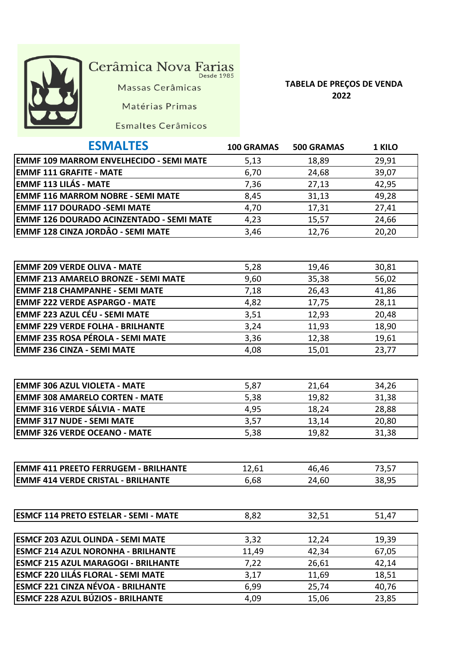

## Cerâmica Nova Farias

Massas Cerâmicas

Matérias Primas

## **TABELA DE PREÇOS DE VENDA 2022**

|  | Esmaltes Cerâmicos |
|--|--------------------|
|--|--------------------|

| <b>ESMALTES</b>                                 | <b>100 GRAMAS</b> | <b>500 GRAMAS</b> | <b>1 KILO</b> |
|-------------------------------------------------|-------------------|-------------------|---------------|
| <b>EMMF 109 MARROM ENVELHECIDO - SEMI MATE</b>  | 5,13              | 18,89             | 29,91         |
| <b>EMMF 111 GRAFITE - MATE</b>                  | 6,70              | 24,68             | 39,07         |
| <b>EMMF 113 LILÁS - MATE</b>                    | 7,36              | 27,13             | 42,95         |
| <b>EMMF 116 MARROM NOBRE - SEMI MATE</b>        | 8,45              | 31,13             | 49,28         |
| <b>EMMF 117 DOURADO -SEMI MATE</b>              | 4,70              | 17,31             | 27,41         |
| <b>EMMF 126 DOURADO ACINZENTADO - SEMI MATE</b> | 4,23              | 15,57             | 24,66         |
| <b>EMMF 128 CINZA JORDÂO - SEMI MATE</b>        | 3,46              | 12,76             | 20,20         |
|                                                 |                   |                   |               |

| <b>EMMF 209 VERDE OLIVA - MATE</b>         | 5,28 | 19,46 | 30,81 |
|--------------------------------------------|------|-------|-------|
| <b>EMMF 213 AMARELO BRONZE - SEMI MATE</b> | 9,60 | 35,38 | 56,02 |
| <b>EMMF 218 CHAMPANHE - SEMI MATE</b>      | 7,18 | 26,43 | 41,86 |
| <b>EMMF 222 VERDE ASPARGO - MATE</b>       | 4,82 | 17,75 | 28,11 |
| EMMF 223 AZUL CÉU - SEMI MATE              | 3,51 | 12,93 | 20,48 |
| <b>EMMF 229 VERDE FOLHA - BRILHANTE</b>    | 3,24 | 11,93 | 18,90 |
| <b>EMMF 235 ROSA PÉROLA - SEMI MATE</b>    | 3,36 | 12,38 | 19,61 |
| <b>EMMF 236 CINZA - SEMI MATE</b>          | 4,08 | 15,01 | 23,77 |

| <b>EMMF 306 AZUL VIOLETA - MATE</b>   | 5,87 | 21,64 | 34,26 |
|---------------------------------------|------|-------|-------|
| <b>EMMF 308 AMARELO CORTEN - MATE</b> | 5,38 | 19,82 | 31,38 |
| EMMF 316 VERDE SÁLVIA - MATE          | 4,95 | 18,24 | 28,88 |
| <b>EMMF 317 NUDE - SEMI MATE</b>      | 3,57 | 13,14 | 20,80 |
| <b>EMMF 326 VERDE OCEANO - MATE</b>   | 5,38 | 19,82 | 31,38 |

| <b>IEMMF 411 PREETO FERRUGEM - BRILHANTE</b> |      | .46<br>46 |  |
|----------------------------------------------|------|-----------|--|
| <b>EMMF 414 VERDE CRISTAL - BRILHANTE</b>    | 6.68 | 24,6C     |  |

| <b>ESMCF 114 PRETO ESTELAR - SEMI - MATE</b> | 8,82  | 32,51 | 51,47 |
|----------------------------------------------|-------|-------|-------|
|                                              |       |       |       |
| <b>ESMCF 203 AZUL OLINDA - SEMI MATE</b>     | 3,32  | 12,24 | 19,39 |
| <b>ESMCF 214 AZUL NORONHA - BRILHANTE</b>    | 11,49 | 42,34 | 67,05 |
| <b>ESMCF 215 AZUL MARAGOGI - BRILHANTE</b>   | 7,22  | 26,61 | 42,14 |
| <b>ESMCF 220 LILÁS FLORAL - SEMI MATE</b>    | 3,17  | 11,69 | 18,51 |
| <b>ESMCF 221 CINZA NÉVOA - BRILHANTE</b>     | 6,99  | 25,74 | 40,76 |
| <b>ESMCF 228 AZUL BÚZIOS - BRILHANTE</b>     | 4,09  | 15,06 | 23,85 |